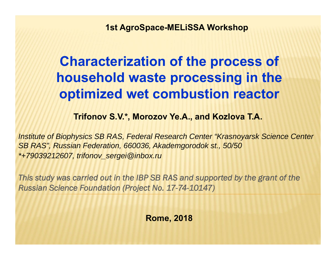**1st AgroSpace-MELiSSA Workshop**

### **Characterization of the process of household waste processing in the optimized wet combustion reactor**

**Trifonov S.V.\*, Morozov Ye.A., and Kozlova T.A.**

*Institute of Biophysics SB RAS, Federal Research Center "Krasnoyarsk Science Center SB RAS", Russian Federation, 660036, Akademgorodok st., 50/50 \*+79039212607, trifonov\_sergei@inbox.ru*

*This study was carried out in the IBP SB RAS and supported by the grant of the Russian Science Foundation (Project No. 17-74-10147)*

**Rome, 2018**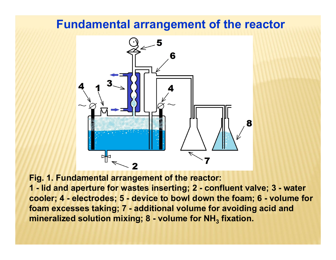### **Fundamental arrangement of the reactor**



**Fig. 1. Fundamental arrangement of the reactor: 1 - lid and aperture for wastes inserting; 2 - confluent valve; 3 - water cooler; 4 - electrodes; 5 - device to bowl down the foam; 6 - volume for foam excesses taking; 7 - additional volume for avoiding acid and mineralized solution mixing; 8 - volume for NH 3 fixation.**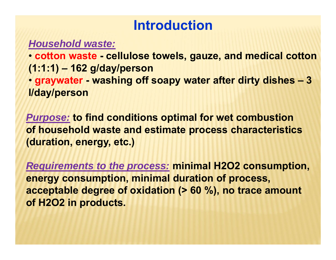### **Introduction**

### *Household waste:*

• **cotton waste - cellulose towels, gauze, and medical cotton (1:1:1) – 162 g/day/person**

• **graywater - washing off soapy water after dirty dishes – 3 l/day/person**

*Purpose:* **to find conditions optimal for wet combustion of household waste and estimate process characteristics (duration, energy, etc.)** 

*Requirements to the process:* **minimal H2O2 consumption, energy consumption, minimal duration of process, acceptable degree of oxidation (> 60 %), no trace amount of H2O2 in products.**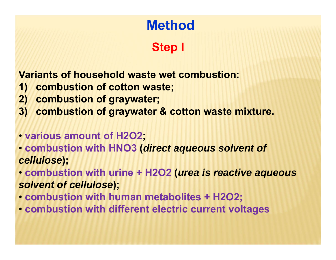# **Method**

### **Step I**

**Variants of household waste wet combustion:**

- **1) combustion of cotton waste;**
- **2) combustion of graywater;**
- **3) combustion of graywater & cotton waste mixture.**
- **various amount of H2O2;**
- **combustion with HNO3 (***direct aqueous solvent of cellulose***);**

• **combustion with urine + H2O2 (***urea is reactive aqueous solvent of cellulose***);**

- **combustion with human metabolites + H2O2;**
- **combustion with different electric current voltages**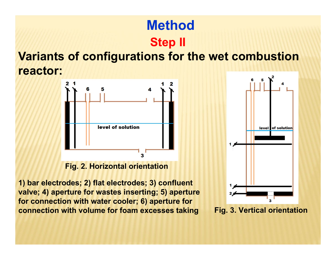### **MethodStep II**

### **Variants of configurations for the wet combustion reactor:**



#### **Fig. 2. Horizontal orientation**

**1) bar electrodes; 2) flat electrodes; 3) confluent valve; 4) aperture for wastes inserting; 5) aperture for connection with water cooler; 6) aperture for connection with volume for foam excesses taking**



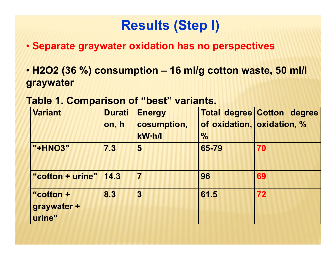- **Separate graywater oxidation has no perspectives**
- **H2O2 (36 %) consumption – 16 ml/g cotton waste, 50 ml/l graywater**

### **Table 1. Comparison of "best" variants.**

| <b>Variant</b>                     | <b>Durati</b><br>on, h | <b>Energy</b><br>cosumption, | of oxidation, oxidation, % | <b>Total degree Cotton degree</b> |
|------------------------------------|------------------------|------------------------------|----------------------------|-----------------------------------|
|                                    |                        | kW·h/l                       | $\frac{0}{0}$              |                                   |
| "+HNO3"                            | 7.3                    | 5                            | 65-79                      | 70                                |
| "cotton + urine"   14.3            |                        | $\overline{7}$               | 96                         | 69                                |
| "cotton +<br>graywater +<br>urine" | 8.3                    | 3                            | 61.5                       | 72                                |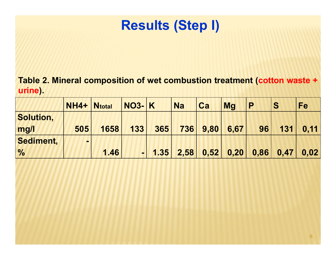**Table 2. Mineral composition of wet combustion treatment (cotton waste <sup>+</sup> urine).**

|                  | <b>NH4+</b>              | <b>Ntotal</b> | $NO3- K$       |      | <b>Na</b> | Ca   | <b>Ma</b> | P    | S    | Fe   |
|------------------|--------------------------|---------------|----------------|------|-----------|------|-----------|------|------|------|
| <b>Solution,</b> |                          |               |                |      |           |      |           |      |      |      |
| mg/l             | 505                      | 1658          | 133            | 365  | 736       | 9,80 | 6,67      | 96   | 131  | 0.11 |
| Sediment,        | $\overline{\phantom{0}}$ |               |                |      |           |      |           |      |      |      |
| $\frac{0}{0}$    |                          | 1.46          | $\blacksquare$ | 1.35 | 2,58      | 0,52 | 0,20      | 0,86 | 0.47 | 0,02 |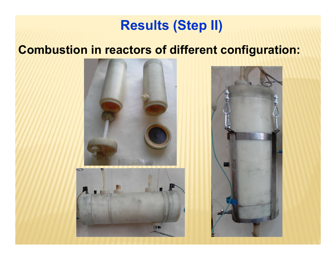### **Combustion in reactors of different configuration:**

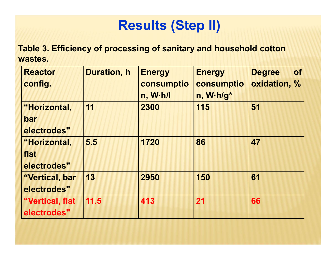**Table 3. Efficiency of processing of sanitary and household cotton wastes.**

| <b>Reactor</b><br>config.                  | <b>Duration, h</b> | <b>Energy</b><br>consumptio<br>n, W·h/l | <b>Energy</b><br>consumptio<br>n, W.h/g* | <b>of</b><br><b>Degree</b><br>oxidation, % |
|--------------------------------------------|--------------------|-----------------------------------------|------------------------------------------|--------------------------------------------|
| "Horizontal,<br>bar<br>electrodes"         | 11                 | 2300                                    | 115                                      | 51                                         |
| <b>"Horizontal,</b><br>flat<br>electrodes" | 5.5                | 1720                                    | 86                                       | 47                                         |
| "Vertical, bar<br>electrodes"              | 13                 | 2950                                    | 150                                      | 61                                         |
| "Vertical, flat<br>electrodes"             | 11.5               | 413                                     | 21                                       | 66                                         |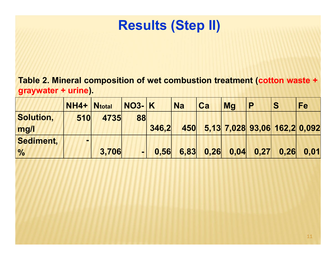**Table 2. Mineral composition of wet combustion treatment (cotton waste <sup>+</sup> graywater <sup>+</sup> urine).**

|                  | NH4+ Ntotal              |       | $NO3$ - $K$    |       | <b>Na</b> | Ca   | <b>Ma</b>                    | P                                                                  | S    | <b>Fe</b> |
|------------------|--------------------------|-------|----------------|-------|-----------|------|------------------------------|--------------------------------------------------------------------|------|-----------|
| <b>Solution,</b> | 510                      | 4735  | 88             |       |           |      |                              |                                                                    |      |           |
| mg/l             |                          |       |                | 346.2 | 450       |      | 5,13 7,028 93,06 162,2 0,092 |                                                                    |      |           |
| Sediment,        | $\overline{\phantom{0}}$ |       |                |       |           |      |                              |                                                                    |      |           |
| $\frac{0}{0}$    |                          | 3,706 | $\blacksquare$ | 0.56  | 6,83      | 0,26 |                              | $\begin{array}{ c c c c c } \hline 0.04 & 0.27 \hline \end{array}$ | 0,26 | 0,01      |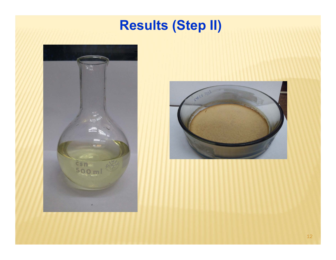

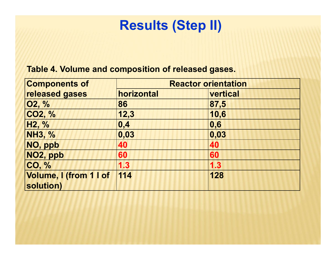#### **Table 4. Volume and composition of released gases.**

| <b>Components of</b>                | <b>Reactor orientation</b> |                           |  |  |  |
|-------------------------------------|----------------------------|---------------------------|--|--|--|
| released gases                      | horizontal                 | vertical                  |  |  |  |
| 02, %                               | 86                         | 87,5                      |  |  |  |
| CO2, %                              | 12,3                       | 10,6                      |  |  |  |
| H <sub>2</sub> , %                  | $\mathbf{0,4}$             | $\overline{\mathbf{0,6}}$ |  |  |  |
| <b>NH3, %</b>                       | 0,03                       | 0,03                      |  |  |  |
| NO, ppb                             | 40                         | 40                        |  |  |  |
| NO2, ppb                            | 60                         | 60                        |  |  |  |
| CO, %                               | 1.3                        | 1.3                       |  |  |  |
| Volume, I (from 1 I of<br>solution) | 114                        | 128                       |  |  |  |